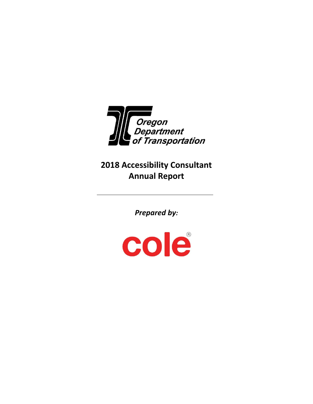

**2018 Accessibility Consultant Annual Report**

*Prepared by:*

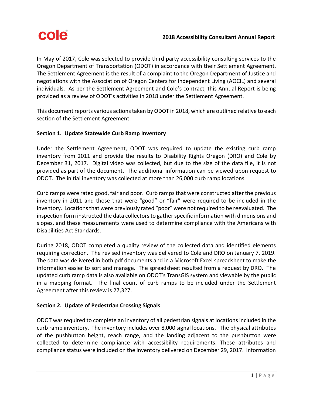In May of 2017, Cole was selected to provide third party accessibility consulting services to the Oregon Department of Transportation (ODOT) in accordance with their Settlement Agreement. The Settlement Agreement is the result of a complaint to the Oregon Department of Justice and negotiations with the Association of Oregon Centers for Independent Living (AOCIL) and several individuals. As per the Settlement Agreement and Cole's contract, this Annual Report is being provided as a review of ODOT's activities in 2018 under the Settlement Agreement.

This document reports various actions taken by ODOT in 2018, which are outlined relative to each section of the Settlement Agreement.

# **Section 1. Update Statewide Curb Ramp Inventory**

Under the Settlement Agreement, ODOT was required to update the existing curb ramp inventory from 2011 and provide the results to Disability Rights Oregon (DRO) and Cole by December 31, 2017. Digital video was collected, but due to the size of the data file, it is not provided as part of the document. The additional information can be viewed upon request to ODOT. The initial inventory was collected at more than 26,000 curb ramp locations.

Curb ramps were rated good, fair and poor. Curb ramps that were constructed after the previous inventory in 2011 and those that were "good" or "fair" were required to be included in the inventory. Locations that were previously rated "poor" were not required to be reevaluated. The inspection form instructed the data collectors to gather specific information with dimensions and slopes, and these measurements were used to determine compliance with the Americans with Disabilities Act Standards.

During 2018, ODOT completed a quality review of the collected data and identified elements requiring correction. The revised inventory was delivered to Cole and DRO on January 7, 2019. The data was delivered in both pdf documents and in a Microsoft Excel spreadsheet to make the information easier to sort and manage. The spreadsheet resulted from a request by DRO. The updated curb ramp data is also available on ODOT's TransGIS system and viewable by the public in a mapping format. The final count of curb ramps to be included under the Settlement Agreement after this review is 27,327.

# **Section 2. Update of Pedestrian Crossing Signals**

ODOT was required to complete an inventory of all pedestrian signals at locations included in the curb ramp inventory. The inventory includes over 8,000 signal locations. The physical attributes of the pushbutton height, reach range, and the landing adjacent to the pushbutton were collected to determine compliance with accessibility requirements. These attributes and compliance status were included on the inventory delivered on December 29, 2017. Information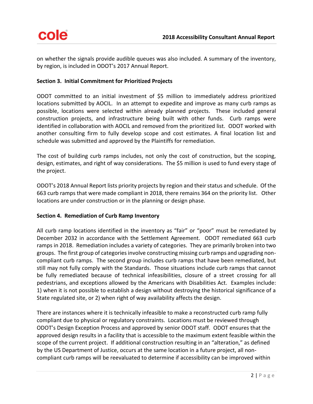on whether the signals provide audible queues was also included. A summary of the inventory, by region, is included in ODOT's 2017 Annual Report.

## **Section 3. Initial Commitment for Prioritized Projects**

ODOT committed to an initial investment of \$5 million to immediately address prioritized locations submitted by AOCIL. In an attempt to expedite and improve as many curb ramps as possible, locations were selected within already planned projects. These included general construction projects, and infrastructure being built with other funds. Curb ramps were identified in collaboration with AOCIL and removed from the prioritized list. ODOT worked with another consulting firm to fully develop scope and cost estimates. A final location list and schedule was submitted and approved by the Plaintiffs for remediation.

The cost of building curb ramps includes, not only the cost of construction, but the scoping, design, estimates, and right of way considerations. The \$5 million is used to fund every stage of the project.

ODOT's 2018 Annual Report lists priority projects by region and their status and schedule. Of the 663 curb ramps that were made compliant in 2018, there remains 364 on the priority list. Other locations are under construction or in the planning or design phase.

## **Section 4. Remediation of Curb Ramp Inventory**

All curb ramp locations identified in the inventory as "fair" or "poor" must be remediated by December 2032 in accordance with the Settlement Agreement. ODOT remediated 663 curb ramps in 2018. Remediation includes a variety of categories. They are primarily broken into two groups. The first group of categories involve constructing missing curb ramps and upgrading noncompliant curb ramps. The second group includes curb ramps that have been remediated, but still may not fully comply with the Standards. Those situations include curb ramps that cannot be fully remediated because of technical infeasibilities, closure of a street crossing for all pedestrians, and exceptions allowed by the Americans with Disabilities Act. Examples include: 1) when it is not possible to establish a design without destroying the historical significance of a State regulated site, or 2) when right of way availability affects the design.

There are instances where it is technically infeasible to make a reconstructed curb ramp fully compliant due to physical or regulatory constraints. Locations must be reviewed through ODOT's Design Exception Process and approved by senior ODOT staff. ODOT ensures that the approved design results in a facility that is accessible to the maximum extent feasible within the scope of the current project. If additional construction resulting in an "alteration," as defined by the US Department of Justice, occurs at the same location in a future project, all noncompliant curb ramps will be reevaluated to determine if accessibility can be improved within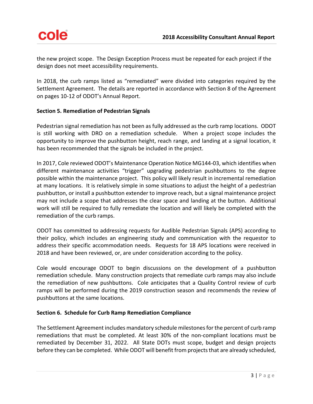the new project scope. The Design Exception Process must be repeated for each project if the design does not meet accessibility requirements.

In 2018, the curb ramps listed as "remediated" were divided into categories required by the Settlement Agreement. The details are reported in accordance with Section 8 of the Agreement on pages 10-12 of ODOT's Annual Report.

# **Section 5. Remediation of Pedestrian Signals**

Pedestrian signal remediation has not been as fully addressed as the curb ramp locations. ODOT is still working with DRO on a remediation schedule. When a project scope includes the opportunity to improve the pushbutton height, reach range, and landing at a signal location, it has been recommended that the signals be included in the project.

In 2017, Cole reviewed ODOT's Maintenance Operation Notice MG144-03, which identifies when different maintenance activities "trigger" upgrading pedestrian pushbuttons to the degree possible within the maintenance project. This policy will likely result in incremental remediation at many locations. It is relatively simple in some situations to adjust the height of a pedestrian pushbutton, or install a pushbutton extender to improve reach, but a signal maintenance project may not include a scope that addresses the clear space and landing at the button. Additional work will still be required to fully remediate the location and will likely be completed with the remediation of the curb ramps.

ODOT has committed to addressing requests for Audible Pedestrian Signals (APS) according to their policy, which includes an engineering study and communication with the requestor to address their specific accommodation needs. Requests for 18 APS locations were received in 2018 and have been reviewed, or, are under consideration according to the policy.

Cole would encourage ODOT to begin discussions on the development of a pushbutton remediation schedule. Many construction projects that remediate curb ramps may also include the remediation of new pushbuttons. Cole anticipates that a Quality Control review of curb ramps will be performed during the 2019 construction season and recommends the review of pushbuttons at the same locations.

# **Section 6. Schedule for Curb Ramp Remediation Compliance**

The Settlement Agreement includes mandatory schedule milestones for the percent of curb ramp remediations that must be completed. At least 30% of the non-compliant locations must be remediated by December 31, 2022. All State DOTs must scope, budget and design projects before they can be completed. While ODOT will benefit from projects that are already scheduled,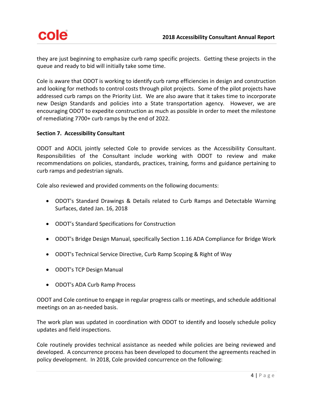they are just beginning to emphasize curb ramp specific projects. Getting these projects in the queue and ready to bid will initially take some time.

Cole is aware that ODOT is working to identify curb ramp efficiencies in design and construction and looking for methods to control costs through pilot projects. Some of the pilot projects have addressed curb ramps on the Priority List. We are also aware that it takes time to incorporate new Design Standards and policies into a State transportation agency. However, we are encouraging ODOT to expedite construction as much as possible in order to meet the milestone of remediating 7700+ curb ramps by the end of 2022.

## **Section 7. Accessibility Consultant**

ODOT and AOCIL jointly selected Cole to provide services as the Accessibility Consultant. Responsibilities of the Consultant include working with ODOT to review and make recommendations on policies, standards, practices, training, forms and guidance pertaining to curb ramps and pedestrian signals.

Cole also reviewed and provided comments on the following documents:

- ODOT's Standard Drawings & Details related to Curb Ramps and Detectable Warning Surfaces, dated Jan. 16, 2018
- ODOT's Standard Specifications for Construction
- ODOT's Bridge Design Manual, specifically Section 1.16 ADA Compliance for Bridge Work
- ODOT's Technical Service Directive, Curb Ramp Scoping & Right of Way
- ODOT's TCP Design Manual
- ODOT's ADA Curb Ramp Process

ODOT and Cole continue to engage in regular progress calls or meetings, and schedule additional meetings on an as-needed basis.

The work plan was updated in coordination with ODOT to identify and loosely schedule policy updates and field inspections.

Cole routinely provides technical assistance as needed while policies are being reviewed and developed. A concurrence process has been developed to document the agreements reached in policy development. In 2018, Cole provided concurrence on the following: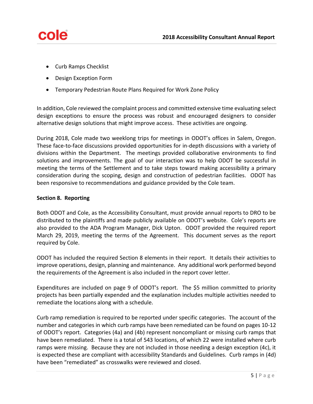- Curb Ramps Checklist
- Design Exception Form
- Temporary Pedestrian Route Plans Required for Work Zone Policy

In addition, Cole reviewed the complaint process and committed extensive time evaluating select design exceptions to ensure the process was robust and encouraged designers to consider alternative design solutions that might improve access. These activities are ongoing.

During 2018, Cole made two weeklong trips for meetings in ODOT's offices in Salem, Oregon. These face-to-face discussions provided opportunities for in-depth discussions with a variety of divisions within the Department. The meetings provided collaborative environments to find solutions and improvements. The goal of our interaction was to help ODOT be successful in meeting the terms of the Settlement and to take steps toward making accessibility a primary consideration during the scoping, design and construction of pedestrian facilities. ODOT has been responsive to recommendations and guidance provided by the Cole team.

## **Section 8. Reporting**

Both ODOT and Cole, as the Accessibility Consultant, must provide annual reports to DRO to be distributed to the plaintiffs and made publicly available on ODOT's website. Cole's reports are also provided to the ADA Program Manager, Dick Upton. ODOT provided the required report March 29, 2019, meeting the terms of the Agreement. This document serves as the report required by Cole.

ODOT has included the required Section 8 elements in their report. It details their activities to improve operations, design, planning and maintenance. Any additional work performed beyond the requirements of the Agreement is also included in the report cover letter.

Expenditures are included on page 9 of ODOT's report. The \$5 million committed to priority projects has been partially expended and the explanation includes multiple activities needed to remediate the locations along with a schedule.

Curb ramp remediation is required to be reported under specific categories. The account of the number and categories in which curb ramps have been remediated can be found on pages 10-12 of ODOT's report. Categories (4a) and (4b) represent noncompliant or missing curb ramps that have been remediated. There is a total of 543 locations, of which 22 were installed where curb ramps were missing. Because they are not included in those needing a design exception (4c), it is expected these are compliant with accessibility Standards and Guidelines. Curb ramps in (4d) have been "remediated" as crosswalks were reviewed and closed.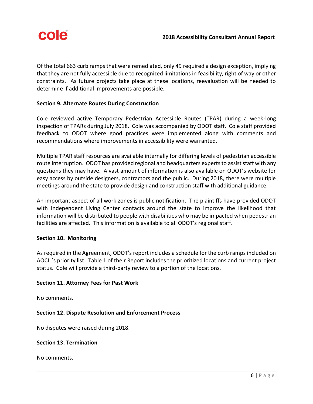

Of the total 663 curb ramps that were remediated, only 49 required a design exception, implying that they are not fully accessible due to recognized limitations in feasibility, right of way or other constraints. As future projects take place at these locations, reevaluation will be needed to determine if additional improvements are possible.

## **Section 9. Alternate Routes During Construction**

Cole reviewed active Temporary Pedestrian Accessible Routes (TPAR) during a week-long inspection of TPARs during July 2018. Cole was accompanied by ODOT staff. Cole staff provided feedback to ODOT where good practices were implemented along with comments and recommendations where improvements in accessibility were warranted.

Multiple TPAR staff resources are available internally for differing levels of pedestrian accessible route interruption. ODOT has provided regional and headquarters experts to assist staff with any questions they may have. A vast amount of information is also available on ODOT's website for easy access by outside designers, contractors and the public. During 2018, there were multiple meetings around the state to provide design and construction staff with additional guidance.

An important aspect of all work zones is public notification. The plaintiffs have provided ODOT with Independent Living Center contacts around the state to improve the likelihood that information will be distributed to people with disabilities who may be impacted when pedestrian facilities are affected. This information is available to all ODOT's regional staff.

#### **Section 10. Monitoring**

As required in the Agreement, ODOT's report includes a schedule for the curb ramps included on AOCIL's priority list. Table 1 of their Report includes the prioritized locations and current project status. Cole will provide a third-party review to a portion of the locations.

## **Section 11. Attorney Fees for Past Work**

No comments.

## **Section 12. Dispute Resolution and Enforcement Process**

No disputes were raised during 2018.

#### **Section 13. Termination**

No comments.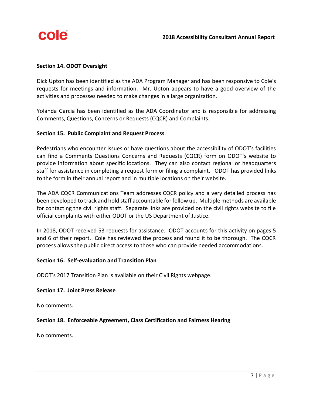## **Section 14. ODOT Oversight**

Dick Upton has been identified as the ADA Program Manager and has been responsive to Cole's requests for meetings and information. Mr. Upton appears to have a good overview of the activities and processes needed to make changes in a large organization.

Yolanda Garcia has been identified as the ADA Coordinator and is responsible for addressing Comments, Questions, Concerns or Requests (CQCR) and Complaints.

## **Section 15. Public Complaint and Request Process**

Pedestrians who encounter issues or have questions about the accessibility of ODOT's facilities can find a Comments Questions Concerns and Requests (CQCR) form on ODOT's website to provide information about specific locations. They can also contact regional or headquarters staff for assistance in completing a request form or filing a complaint. ODOT has provided links to the form in their annual report and in multiple locations on their website.

The ADA CQCR Communications Team addresses CQCR policy and a very detailed process has been developed to track and hold staff accountable for follow up. Multiple methods are available for contacting the civil rights staff. Separate links are provided on the civil rights website to file official complaints with either ODOT or the US Department of Justice.

In 2018, ODOT received 53 requests for assistance. ODOT accounts for this activity on pages 5 and 6 of their report. Cole has reviewed the process and found it to be thorough. The CQCR process allows the public direct access to those who can provide needed accommodations.

## **Section 16. Self-evaluation and Transition Plan**

ODOT's 2017 Transition Plan is available on their Civil Rights webpage.

#### **Section 17. Joint Press Release**

No comments.

## **Section 18. Enforceable Agreement, Class Certification and Fairness Hearing**

No comments.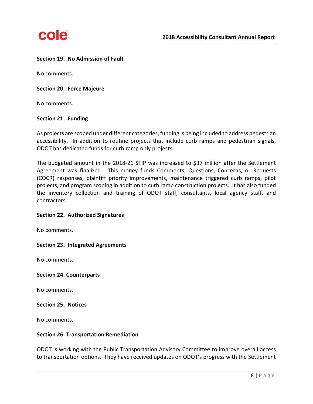#### **Section 19. No Admission of Fault**

No comments.

#### **Section 20. Force Majeure**

No comments.

#### **Section 21. Funding**

As projects are scoped under different categories, funding is being included to address pedestrian accessibility. In addition to routine projects that include curb ramps and pedestrian signals, ODOT has dedicated funds for curb ramp only projects.

The budgeted amount in the 2018-21 STIP was increased to \$37 million after the Settlement Agreement was finalized. This money funds Comments, Questions, Concerns, or Requests (CQCR) responses, plaintiff priority improvements, maintenance triggered curb ramps, pilot projects, and program scoping in addition to curb ramp construction projects. It has also funded the inventory collection and training of ODOT staff, consultants, local agency staff, and contractors.

#### **Section 22. Authorized Signatures**

No comments.

#### **Section 23. Integrated Agreements**

No comments.

#### **Section 24. Counterparts**

No comments.

#### **Section 25. Notices**

No comments.

#### **Section 26. Transportation Remediation**

ODOT is working with the Public Transportation Advisory Committee to improve overall access to transportation options. They have received updates on ODOT's progress with the Settlement